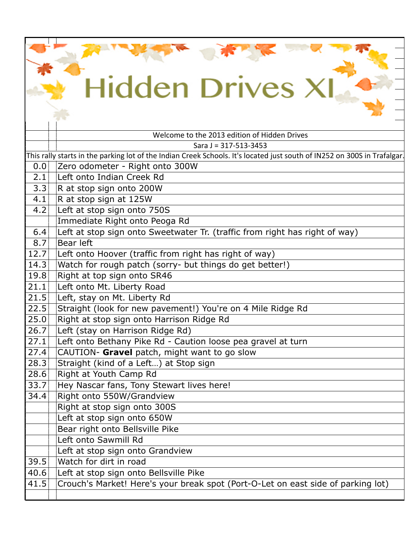| <b>Hidden Drives X</b> |                                                                                                                          |  |
|------------------------|--------------------------------------------------------------------------------------------------------------------------|--|
|                        |                                                                                                                          |  |
|                        |                                                                                                                          |  |
|                        |                                                                                                                          |  |
|                        | Welcome to the 2013 edition of Hidden Drives                                                                             |  |
|                        | Sara $J = 317 - 513 - 3453$                                                                                              |  |
|                        | This rally starts in the parking lot of the Indian Creek Schools. It's located just south of IN252 on 300S in Trafalgar. |  |
| 0.0                    | Zero odometer - Right onto 300W                                                                                          |  |
| 2.1                    | Left onto Indian Creek Rd                                                                                                |  |
| 3.3                    | R at stop sign onto 200W                                                                                                 |  |
| 4.1                    | R at stop sign at 125W                                                                                                   |  |
| 4.2                    | Left at stop sign onto 750S                                                                                              |  |
|                        | Immediate Right onto Peoga Rd                                                                                            |  |
| 6.4                    | Left at stop sign onto Sweetwater Tr. (traffic from right has right of way)                                              |  |
| 8.7                    | Bear left                                                                                                                |  |
| 12.7                   | Left onto Hoover (traffic from right has right of way)                                                                   |  |
| 14.3                   | Watch for rough patch (sorry- but things do get better!)                                                                 |  |
| 19.8                   | Right at top sign onto SR46                                                                                              |  |
| 21.1                   | Left onto Mt. Liberty Road                                                                                               |  |
| 21.5                   | Left, stay on Mt. Liberty Rd                                                                                             |  |
| 22.5                   | Straight (look for new pavement!) You're on 4 Mile Ridge Rd                                                              |  |
| 25.0                   | Right at stop sign onto Harrison Ridge Rd                                                                                |  |
| 26.7                   | Left (stay on Harrison Ridge Rd)                                                                                         |  |
| 27.1                   | Left onto Bethany Pike Rd - Caution loose pea gravel at turn                                                             |  |
| 27.4                   | CAUTION- Gravel patch, might want to go slow                                                                             |  |
| 28.3                   | Straight (kind of a Left) at Stop sign                                                                                   |  |
| 28.6                   | Right at Youth Camp Rd                                                                                                   |  |
| 33.7                   | Hey Nascar fans, Tony Stewart lives here!                                                                                |  |
| 34.4                   | Right onto 550W/Grandview                                                                                                |  |
|                        | Right at stop sign onto 300S                                                                                             |  |
|                        | Left at stop sign onto 650W                                                                                              |  |
|                        | Bear right onto Bellsville Pike                                                                                          |  |
|                        | Left onto Sawmill Rd                                                                                                     |  |
|                        | Left at stop sign onto Grandview                                                                                         |  |
| 39.5                   | Watch for dirt in road                                                                                                   |  |
| 40.6                   | Left at stop sign onto Bellsville Pike                                                                                   |  |
| 41.5                   | Crouch's Market! Here's your break spot (Port-O-Let on east side of parking lot)                                         |  |
|                        |                                                                                                                          |  |